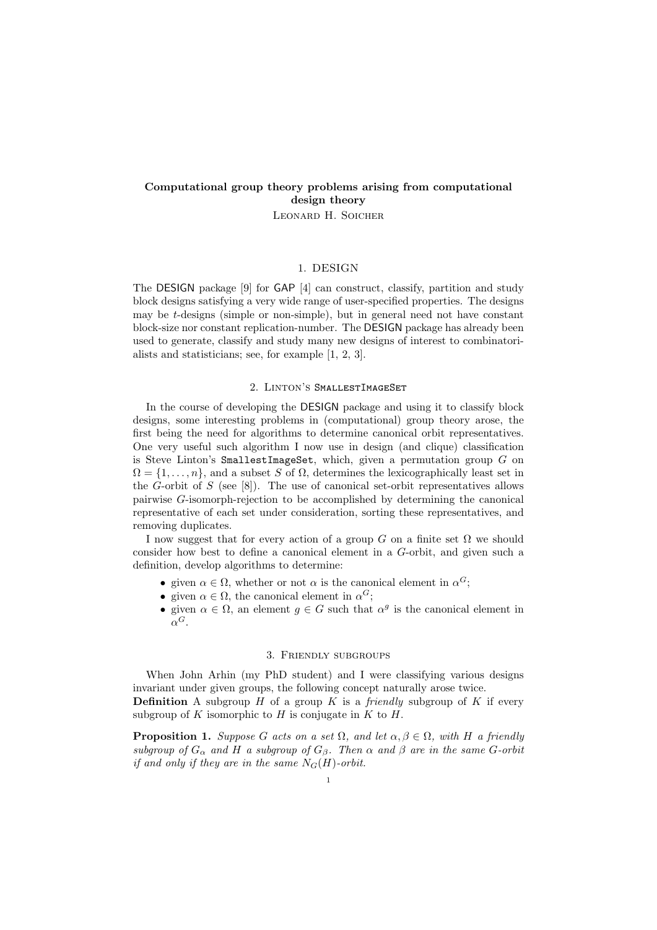# Computational group theory problems arising from computational design theory

Leonard H. Soicher

### 1. DESIGN

The DESIGN package [9] for GAP [4] can construct, classify, partition and study block designs satisfying a very wide range of user-specified properties. The designs may be  $t$ -designs (simple or non-simple), but in general need not have constant block-size nor constant replication-number. The DESIGN package has already been used to generate, classify and study many new designs of interest to combinatorialists and statisticians; see, for example [1, 2, 3].

#### 2. Linton's SmallestImageSet

In the course of developing the DESIGN package and using it to classify block designs, some interesting problems in (computational) group theory arose, the first being the need for algorithms to determine canonical orbit representatives. One very useful such algorithm I now use in design (and clique) classification is Steve Linton's SmallestImageSet, which, given a permutation group  $G$  on  $\Omega = \{1, \ldots, n\}$ , and a subset S of  $\Omega$ , determines the lexicographically least set in the G-orbit of S (see  $[8]$ ). The use of canonical set-orbit representatives allows pairwise G-isomorph-rejection to be accomplished by determining the canonical representative of each set under consideration, sorting these representatives, and removing duplicates.

I now suggest that for every action of a group G on a finite set  $\Omega$  we should consider how best to define a canonical element in a G-orbit, and given such a definition, develop algorithms to determine:

- given  $\alpha \in \Omega$ , whether or not  $\alpha$  is the canonical element in  $\alpha^G$ ;
- given  $\alpha \in \Omega$ , the canonical element in  $\alpha^G$ ;
- given  $\alpha \in \Omega$ , an element  $g \in G$  such that  $\alpha^g$  is the canonical element in  $\alpha^G$ .

#### 3. Friendly subgroups

When John Arhin (my PhD student) and I were classifying various designs invariant under given groups, the following concept naturally arose twice. **Definition** A subgroup  $H$  of a group  $K$  is a *friendly* subgroup of  $K$  if every subgroup of K isomorphic to H is conjugate in K to H.

**Proposition 1.** Suppose G acts on a set  $\Omega$ , and let  $\alpha, \beta \in \Omega$ , with H a friendly subgroup of  $G_{\alpha}$  and H a subgroup of  $G_{\beta}$ . Then  $\alpha$  and  $\beta$  are in the same G-orbit if and only if they are in the same  $N_G(H)$ -orbit.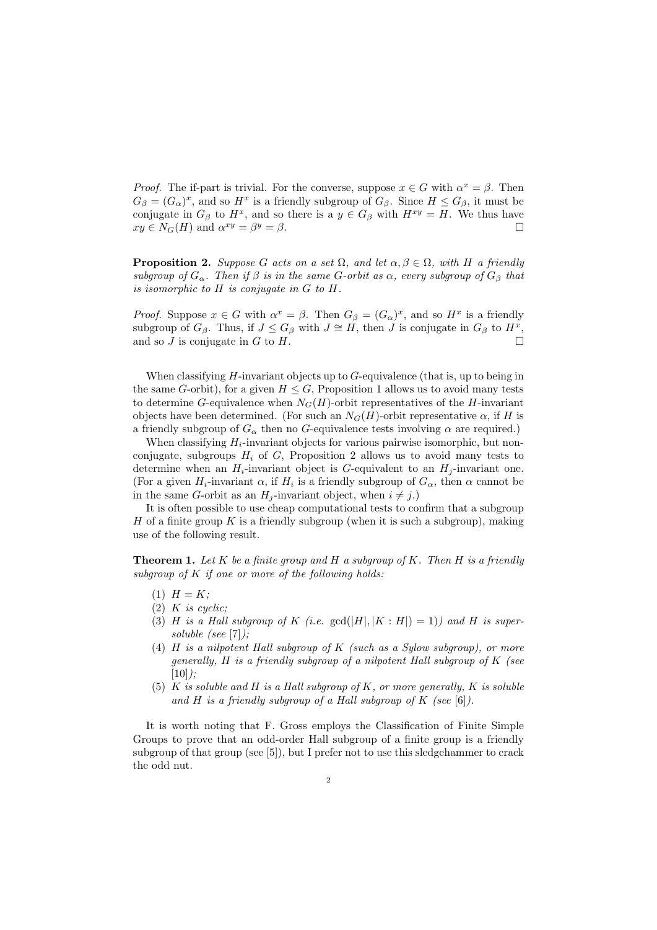*Proof.* The if-part is trivial. For the converse, suppose  $x \in G$  with  $\alpha^x = \beta$ . Then  $G_{\beta} = (G_{\alpha})^x$ , and so  $H^x$  is a friendly subgroup of  $G_{\beta}$ . Since  $H \leq G_{\beta}$ , it must be conjugate in  $G_{\beta}$  to  $H^x$ , and so there is a  $y \in G_{\beta}$  with  $H^{xy} = H$ . We thus have  $xy \in N_G(H)$  and  $\alpha^{xy} = \beta$  $y = \beta$ .

**Proposition 2.** Suppose G acts on a set  $\Omega$ , and let  $\alpha, \beta \in \Omega$ , with H a friendly subgroup of  $G_{\alpha}$ . Then if  $\beta$  is in the same G-orbit as  $\alpha$ , every subgroup of  $G_{\beta}$  that is isomorphic to H is conjugate in G to H.

*Proof.* Suppose  $x \in G$  with  $\alpha^x = \beta$ . Then  $G_\beta = (G_\alpha)^x$ , and so  $H^x$  is a friendly subgroup of  $G_\beta$ . Thus, if  $J \leq G_\beta$  with  $J \cong H$ , then  $J$  is conjugate in  $G_\beta$  to  $H^x$ , and so  $J$  is conjugate in  $G$  to  $H$ .

When classifying  $H$ -invariant objects up to  $G$ -equivalence (that is, up to being in the same G-orbit), for a given  $H \leq G$ , Proposition 1 allows us to avoid many tests to determine G-equivalence when  $N_G(H)$ -orbit representatives of the H-invariant objects have been determined. (For such an  $N_G(H)$ -orbit representative  $\alpha$ , if H is a friendly subgroup of  $G_{\alpha}$  then no G-equivalence tests involving  $\alpha$  are required.)

When classifying  $H_i$ -invariant objects for various pairwise isomorphic, but nonconjugate, subgroups  $H_i$  of G, Proposition 2 allows us to avoid many tests to determine when an  $H_i$ -invariant object is G-equivalent to an  $H_i$ -invariant one. (For a given  $H_i$ -invariant  $\alpha$ , if  $H_i$  is a friendly subgroup of  $G_{\alpha}$ , then  $\alpha$  cannot be in the same G-orbit as an  $H_i$ -invariant object, when  $i \neq j$ .)

It is often possible to use cheap computational tests to confirm that a subgroup H of a finite group K is a friendly subgroup (when it is such a subgroup), making use of the following result.

**Theorem 1.** Let K be a finite group and H a subgroup of K. Then H is a friendly subgroup of  $K$  if one or more of the following holds:

- $(1)$   $H = K$ ;
- $(2)$  K is cyclic;
- (3) H is a Hall subgroup of K (i.e.  $gcd(|H|, |K : H|) = 1)$ ) and H is supersoluble (see [7]);
- (4) H is a nilpotent Hall subgroup of K (such as a Sylow subgroup), or more generally, H is a friendly subgroup of a nilpotent Hall subgroup of K (see  $[10]$ :
- (5) K is soluble and H is a Hall subgroup of K, or more generally, K is soluble and H is a friendly subgroup of a Hall subgroup of K (see [6]).

It is worth noting that F. Gross employs the Classification of Finite Simple Groups to prove that an odd-order Hall subgroup of a finite group is a friendly subgroup of that group (see [5]), but I prefer not to use this sledgehammer to crack the odd nut.